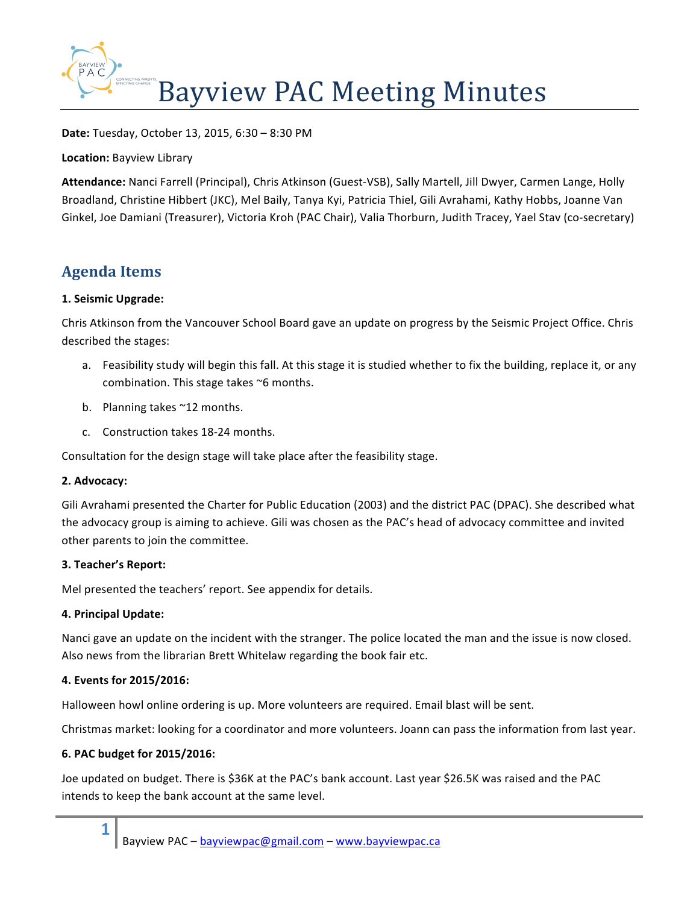

**Date:** Tuesday, October 13, 2015, 6:30 – 8:30 PM

**Location: Bayview Library** 

Attendance: Nanci Farrell (Principal), Chris Atkinson (Guest-VSB), Sally Martell, Jill Dwyer, Carmen Lange, Holly Broadland, Christine Hibbert (JKC), Mel Baily, Tanya Kyi, Patricia Thiel, Gili Avrahami, Kathy Hobbs, Joanne Van Ginkel, Joe Damiani (Treasurer), Victoria Kroh (PAC Chair), Valia Thorburn, Judith Tracey, Yael Stav (co-secretary)

# **Agenda Items**

## **1. Seismic Upgrade:**

Chris Atkinson from the Vancouver School Board gave an update on progress by the Seismic Project Office. Chris described the stages:

- a. Feasibility study will begin this fall. At this stage it is studied whether to fix the building, replace it, or any combination. This stage takes ~6 months.
- b. Planning takes ~12 months.
- c. Construction takes 18-24 months.

Consultation for the design stage will take place after the feasibility stage.

## **2. Advocacy:**

Gili Avrahami presented the Charter for Public Education (2003) and the district PAC (DPAC). She described what the advocacy group is aiming to achieve. Gili was chosen as the PAC's head of advocacy committee and invited other parents to join the committee.

## **3. Teacher's Report:**

Mel presented the teachers' report. See appendix for details.

## **4. Principal Update:**

Nanci gave an update on the incident with the stranger. The police located the man and the issue is now closed. Also news from the librarian Brett Whitelaw regarding the book fair etc.

## **4. Events for 2015/2016:**

Halloween howl online ordering is up. More volunteers are required. Email blast will be sent.

Christmas market: looking for a coordinator and more volunteers. Joann can pass the information from last year.

## **6. PAC budget for 2015/2016:**

**1**

Joe updated on budget. There is \$36K at the PAC's bank account. Last year \$26.5K was raised and the PAC intends to keep the bank account at the same level.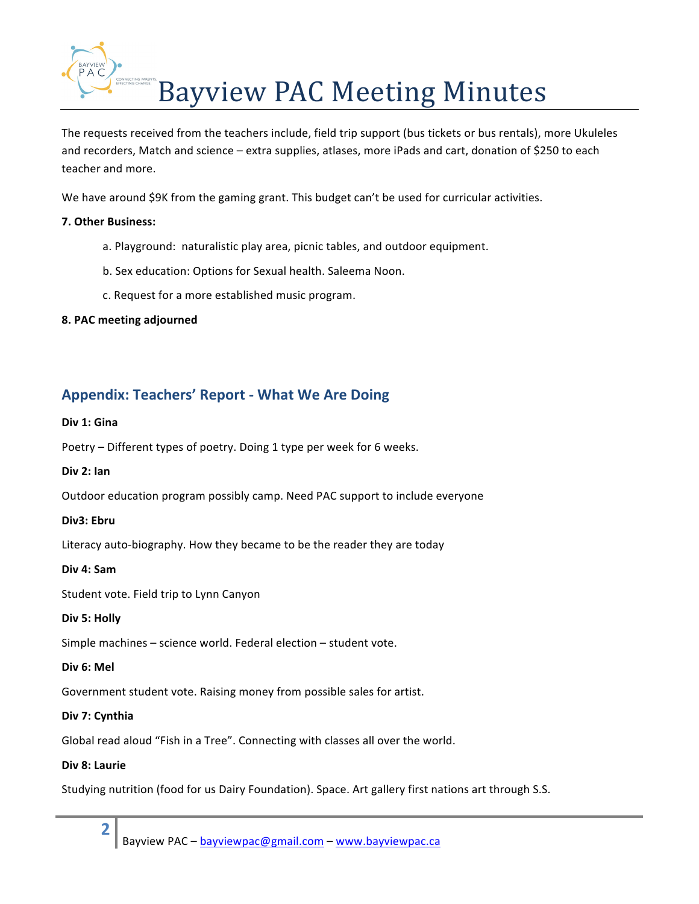

The requests received from the teachers include, field trip support (bus tickets or bus rentals), more Ukuleles and recorders, Match and science – extra supplies, atlases, more iPads and cart, donation of \$250 to each teacher and more.

We have around \$9K from the gaming grant. This budget can't be used for curricular activities.

## **7. Other Business:**

- a. Playground: naturalistic play area, picnic tables, and outdoor equipment.
- b. Sex education: Options for Sexual health. Saleema Noon.
- c. Request for a more established music program.
- **8. PAC meeting adjourned**

## **Appendix: Teachers' Report - What We Are Doing**

## Div 1: Gina

Poetry – Different types of poetry. Doing 1 type per week for 6 weeks.

## **Div 2: Ian**

Outdoor education program possibly camp. Need PAC support to include everyone

## **Div3: Ebru**

Literacy auto-biography. How they became to be the reader they are today

## **Div 4: Sam**

Student vote. Field trip to Lynn Canyon

## Div 5: Holly

Simple machines  $-$  science world. Federal election  $-$  student vote.

## **Div 6: Mel**

Government student vote. Raising money from possible sales for artist.

## **Div 7: Cynthia**

Global read aloud "Fish in a Tree". Connecting with classes all over the world.

## **Div 8: Laurie**

**2**

Studying nutrition (food for us Dairy Foundation). Space. Art gallery first nations art through S.S.